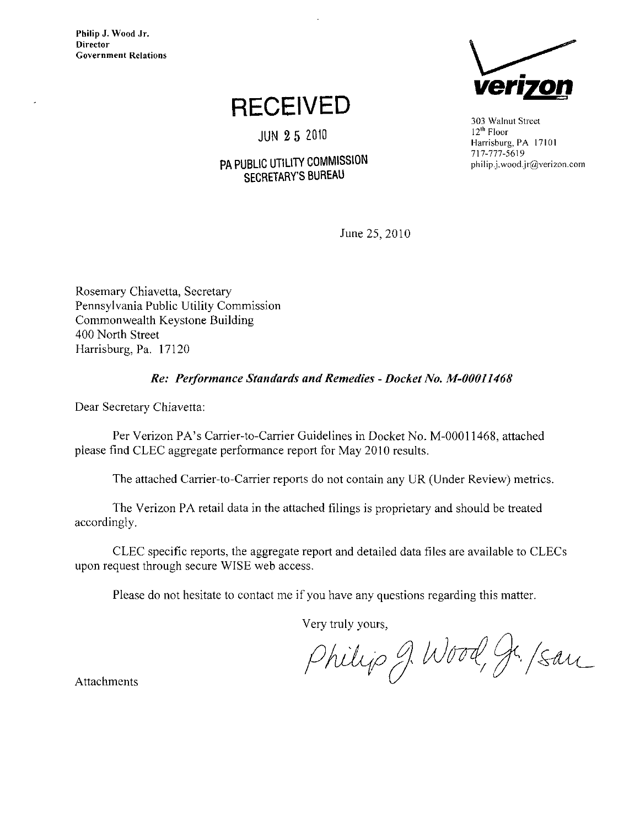Philip J. Wood Jr. **Director** Government Relations

### RECEIVED

JUN 2 5 2010

#### PA PUBLIC UTILITY COMMISSION SECRETARY'S BUREAU



303 Walnut Street 12<sup>th</sup> Floor Harrisburg, PA 17101 717-777-5619 [philip.j.wood.jr@verizon.com](mailto:philip.j.wood.jr@verizon.com) 

June 25, 2010

Rosemary Chiavetta, Secretary Pennsylvania Public Utility Commission Commonwealth Keystone Building 400 North Street Harrisburg, Pa. 17120

#### Re: Performance Standards and Remedies - Docket No. M-00011468

Dear Secretary Chiavetta:

Per Verizon PA's Carrier-to-Carrier Guidelines in Docket No. M-00011468, attached piease find CLEC aggregate performance report for May 2010 results.

The attached Carrier-to-Carrier reports do not contain any UR (Under Review) metrics.

The Verizon PA retail data in the attached filings is proprietary and should be treated accordingly.

CLEC specific reports, the aggregate report and detailed data files are available to CLECs upon request through secure WISE web access.

Please do not hesitate to contact me if you have any questions regarding this matter.

Very truly yours,

Philip J. Wood, Jr. /san

Attachments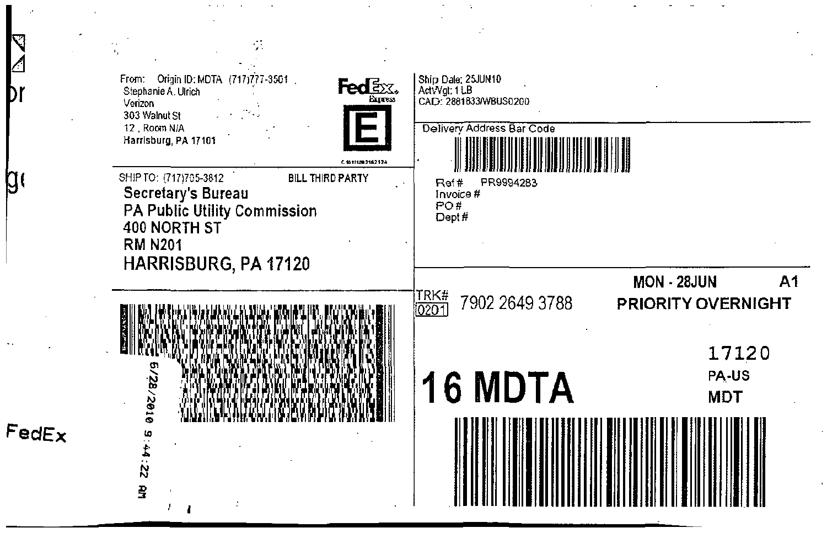

g

 $FedEx$